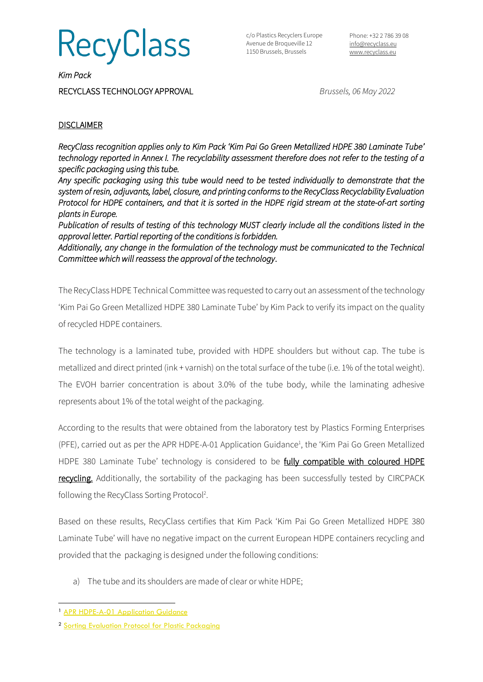**RecyClass** 

c/o Plastics Recyclers Europe Avenue de Broqueville 12 1150 Brussels, Brussels

Phone: +32 2 786 39 08 [info@recyclass.eu](mailto:info@recyclass.eu) [www.recyclass.eu](http://www.recyclass.eu/)

*Kim Pack*  RECYCLASS TECHNOLOGY APPROVAL *Brussels, 06 May 2022*

## **DISCLAIMER**

*RecyClass recognition applies only to Kim Pack 'Kim Pai Go Green Metallized HDPE 380 Laminate Tube' technology reported in Annex I. The recyclability assessment therefore does not refer to the testing of a specific packaging using this tube.* 

*Any specific packaging using this tube would need to be tested individually to demonstrate that the system of resin, adjuvants, label, closure, and printing conforms to the RecyClass Recyclability Evaluation Protocol for HDPE containers, and that it is sorted in the HDPE rigid stream at the state-of-art sorting plants in Europe.* 

*Publication of results of testing of this technology MUST clearly include all the conditions listed in the approval letter. Partial reporting of the conditions is forbidden.* 

*Additionally, any change in the formulation of the technology must be communicated to the Technical Committee which will reassess the approval of the technology*.

The RecyClass HDPE Technical Committee was requested to carry out an assessment of the technology 'Kim Pai Go Green Metallized HDPE 380 Laminate Tube' by Kim Pack to verify its impact on the quality of recycled HDPE containers.

The technology is a laminated tube, provided with HDPE shoulders but without cap. The tube is metallized and direct printed (ink + varnish) on the total surface of the tube (i.e. 1% of the total weight). The EVOH barrier concentration is about 3.0% of the tube body, while the laminating adhesive represents about 1% of the total weight of the packaging.

According to the results that were obtained from the laboratory test by Plastics Forming Enterprises (PFE), carried out as per the APR HDPE-A-01 Application Guidance<sup>1</sup>, the 'Kim Pai Go Green Metallized HDPE 380 Laminate Tube' technology is considered to be fully compatible with coloured HDPE recycling. Additionally, the sortability of the packaging has been successfully tested by CIRCPACK following the RecyClass Sorting Protocol<sup>2</sup>.

Based on these results, RecyClass certifies that Kim Pack 'Kim Pai Go Green Metallized HDPE 380 Laminate Tube' will have no negative impact on the current European HDPE containers recycling and provided that the packaging is designed under the following conditions:

a) The tube and its shoulders are made of clear or white HDPE;

<sup>&</sup>lt;sup>1</sup> [APR HDPE-A-01 Application Guidance](https://plasticsrecycling.org/hdpe-test-methods)

<sup>2</sup> Sorting Evaluation [Protocol for Plastic Packaging](https://recyclass.eu/recyclability/test-methods/)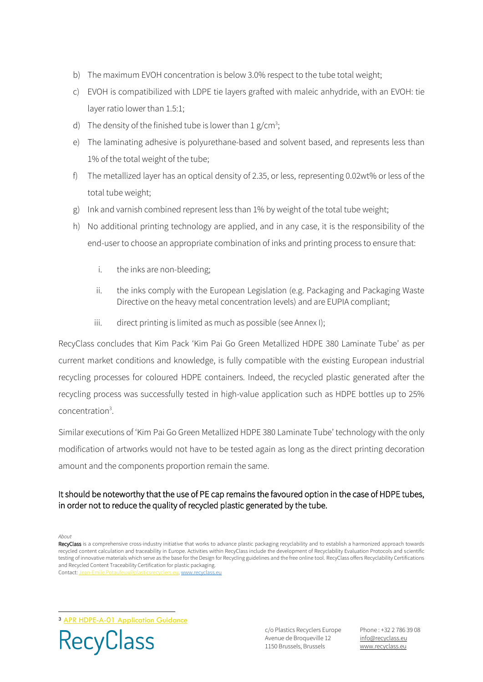- b) The maximum EVOH concentration is below 3.0% respect to the tube total weight;
- c) EVOH is compatibilized with LDPE tie layers grafted with maleic anhydride, with an EVOH: tie layer ratio lower than 1.5:1;
- d) The density of the finished tube is lower than  $1 g/cm^3$ ;
- e) The laminating adhesive is polyurethane-based and solvent based, and represents less than 1% of the total weight of the tube;
- f) The metallized layer has an optical density of 2.35, or less, representing 0.02wt% or less of the total tube weight;
- g) Ink and varnish combined represent less than 1% by weight of the total tube weight;
- h) No additional printing technology are applied, and in any case, it is the responsibility of the end-user to choose an appropriate combination of inks and printing process to ensure that:
	- i. the inks are non-bleeding;
	- ii. the inks comply with the European Legislation (e.g. Packaging and Packaging Waste Directive on the heavy metal concentration levels) and are EUPIA compliant;
	- iii. direct printing is limited as much as possible (see Annex I);

RecyClass concludes that Kim Pack 'Kim Pai Go Green Metallized HDPE 380 Laminate Tube' as per current market conditions and knowledge, is fully compatible with the existing European industrial recycling processes for coloured HDPE containers. Indeed, the recycled plastic generated after the recycling process was successfully tested in high-value application such as HDPE bottles up to 25% concentration<sup>3</sup>.

Similar executions of 'Kim Pai Go Green Metallized HDPE 380 Laminate Tube' technology with the only modification of artworks would not have to be tested again as long as the direct printing decoration amount and the components proportion remain the same.

## It should be noteworthy that the use of PE cap remains the favoured option in the case of HDPE tubes, in order not to reduce the quality of recycled plastic generated by the tube.

*About*

<sup>3</sup> [APR HDPE-A-01 Application Guidance](https://plasticsrecycling.org/hdpe-test-methods)



c/o Plastics Recyclers Europe Avenue de Broqueville 12 1150 Brussels, Brussels

Phone : +32 2 786 39 08 info[@recyclass.eu](mailto:recyclass@plasticsrecyclers.eu) www.recyclass.eu

RecyClass is a comprehensive cross-industry initiative that works to advance plastic packaging recyclability and to establish a harmonized approach towards recycled content calculation and traceability in Europe. Activities within RecyClass include the development of Recyclability Evaluation Protocols and scientific testing of innovative materials which serve as the base for the Design for Recycling guidelines and the free online tool. RecyClass offers Recyclability Certifications and Recycled Content Traceability Certification for plastic packaging. Contact: